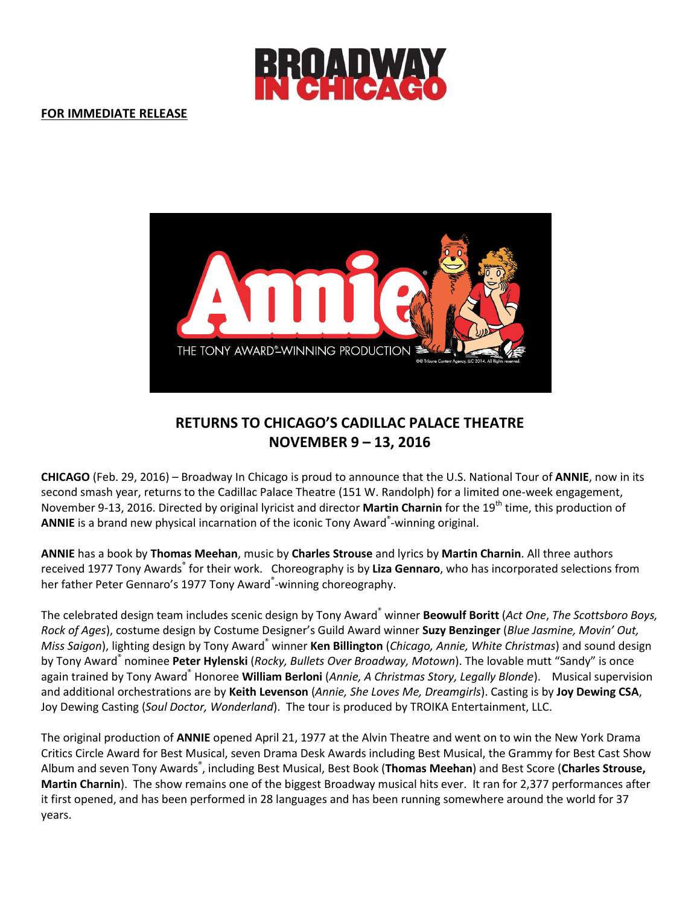

## **FOR IMMEDIATE RELEASE**



# **RETURNS TO CHICAGO'S CADILLAC PALACE THEATRE NOVEMBER 9 – 13, 2016**

**CHICAGO** (Feb. 29, 2016) – Broadway In Chicago is proud to announce that the U.S. National Tour of **ANNIE**, now in its second smash year, returns to the Cadillac Palace Theatre (151 W. Randolph) for a limited one-week engagement, November 9-13, 2016. Directed by original lyricist and director **Martin Charnin** for the 19<sup>th</sup> time, this production of ANNIE is a brand new physical incarnation of the iconic Tony Award<sup>®</sup>-winning original.

**ANNIE** has a book by **Thomas Meehan**, music by **Charles Strouse** and lyrics by **Martin Charnin**. All three authors received 1977 Tony Awards<sup>®</sup> for their work. Choreography is by Liza Gennaro, who has incorporated selections from her father Peter Gennaro's 1977 Tony Award<sup>®</sup>-winning choreography.

The celebrated design team includes scenic design by Tony Award® winner **Beowulf Boritt** (*Act One*, *The Scottsboro Boys, Rock of Ages*), costume design by Costume Designer's Guild Award winner **Suzy Benzinger** (*Blue Jasmine, Movin' Out, Miss Saigon*), lighting design by Tony Award® winner **Ken Billington** (*Chicago, Annie, White Christmas*) and sound design by Tony Award® nominee **Peter Hylenski** (*Rocky, Bullets Over Broadway, Motown*). The lovable mutt "Sandy" is once again trained by Tony Award® Honoree **William Berloni** (*Annie, A Christmas Story, Legally Blonde*). Musical supervision and additional orchestrations are by **Keith Levenson** (*Annie, She Loves Me, Dreamgirls*). Casting is by **Joy Dewing CSA**, Joy Dewing Casting (*Soul Doctor, Wonderland*). The tour is produced by TROIKA Entertainment, LLC.

The original production of **ANNIE** opened April 21, 1977 at the Alvin Theatre and went on to win the New York Drama Critics Circle Award for Best Musical, seven Drama Desk Awards including Best Musical, the Grammy for Best Cast Show Album and seven Tony Awards<sup>®</sup>, including Best Musical, Best Book (**Thomas Meehan**) and Best Score (**Charles Strouse, Martin Charnin**). The show remains one of the biggest Broadway musical hits ever. It ran for 2,377 performances after it first opened, and has been performed in 28 languages and has been running somewhere around the world for 37 years.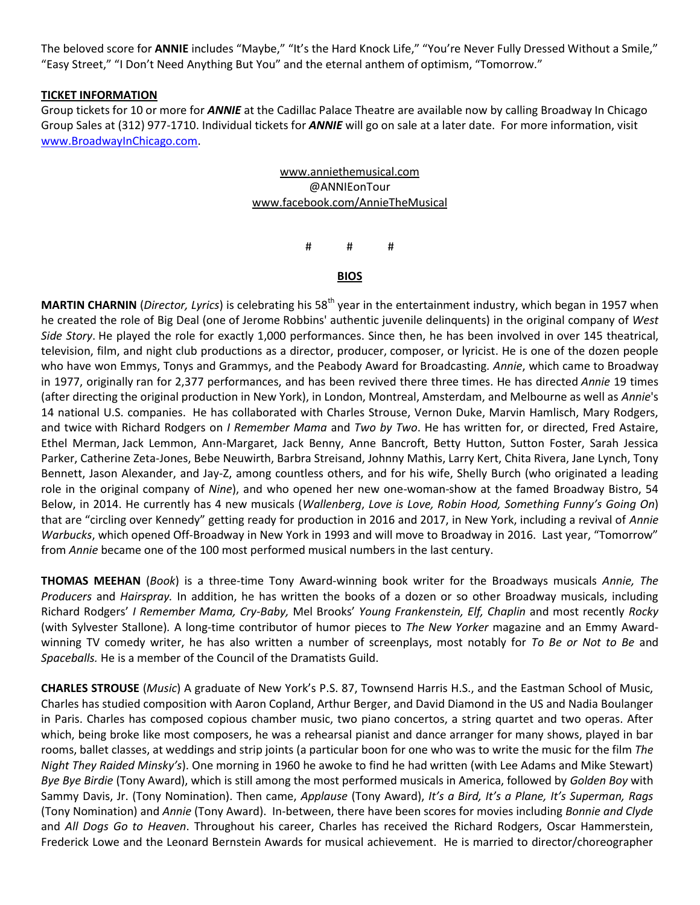The beloved score for **ANNIE** includes "Maybe," "It's the Hard Knock Life," "You're Never Fully Dressed Without a Smile," "Easy Street," "I Don't Need Anything But You" and the eternal anthem of optimism, "Tomorrow."

#### **TICKET INFORMATION**

Group tickets for 10 or more for *ANNIE* at the Cadillac Palace Theatre are available now by calling Broadway In Chicago Group Sales at (312) 977-1710. Individual tickets for *ANNIE* will go on sale at a later date. For more information, visit [www.BroadwayInChicago.com.](http://www.broadwayinchicago.com/)

### [www.anniethemusical.com](http://www.anniethemusical.com/) @ANNIEonTour [www.facebook.com/AnnieTheMusical](http://www.facebook.com/AnnieTheMusical)

# # #

#### **BIOS**

**MARTIN CHARNIN** (*Director, Lyrics*) is celebrating his 58<sup>th</sup> year in the entertainment industry, which began in 1957 when he created the role of Big Deal (one of Jerome Robbins' authentic juvenile delinquents) in the original company of *West Side Story*. He played the role for exactly 1,000 performances. Since then, he has been involved in over 145 theatrical, television, film, and night club productions as a director, producer, composer, or lyricist. He is one of the dozen people who have won Emmys, Tonys and Grammys, and the Peabody Award for Broadcasting. *Annie*, which came to Broadway in 1977, originally ran for 2,377 performances, and has been revived there three times. He has directed *Annie* 19 times (after directing the original production in New York), in London, Montreal, Amsterdam, and Melbourne as well as *Annie*'s 14 national U.S. companies. He has collaborated with Charles Strouse, Vernon Duke, Marvin Hamlisch, Mary Rodgers, and twice with Richard Rodgers on *I Remember Mama* and *Two by Two*. He has written for, or directed, Fred Astaire, Ethel Merman, Jack Lemmon, Ann-Margaret, Jack Benny, Anne Bancroft, Betty Hutton, Sutton Foster, Sarah Jessica Parker, Catherine Zeta-Jones, Bebe Neuwirth, Barbra Streisand, Johnny Mathis, Larry Kert, Chita Rivera, Jane Lynch, Tony Bennett, Jason Alexander, and Jay-Z, among countless others, and for his wife, Shelly Burch (who originated a leading role in the original company of *Nine*), and who opened her new one-woman-show at the famed Broadway Bistro, 54 Below, in 2014. He currently has 4 new musicals (*Wallenberg*, *Love is Love, Robin Hood, Something Funny's Going On*) that are "circling over Kennedy" getting ready for production in 2016 and 2017, in New York, including a revival of *Annie Warbucks*, which opened Off-Broadway in New York in 1993 and will move to Broadway in 2016. Last year, "Tomorrow" from *Annie* became one of the 100 most performed musical numbers in the last century.

**THOMAS MEEHAN** (*Book*) is a three-time Tony Award-winning book writer for the Broadways musicals *Annie, The Producers* and *Hairspray.* In addition, he has written the books of a dozen or so other Broadway musicals, including Richard Rodgers' *I Remember Mama, Cry-Baby,* Mel Brooks' *Young Frankenstein, Elf, Chaplin* and most recently *Rocky* (with Sylvester Stallone)*.* A long-time contributor of humor pieces to *The New Yorker* magazine and an Emmy Awardwinning TV comedy writer, he has also written a number of screenplays, most notably for *To Be or Not to Be* and *Spaceballs.* He is a member of the Council of the Dramatists Guild.

**CHARLES STROUSE** (*Music*) A graduate of New York's P.S. 87, Townsend Harris H.S., and the Eastman School of Music, Charles has studied composition with Aaron Copland, Arthur Berger, and David Diamond in the US and Nadia Boulanger in Paris. Charles has composed copious chamber music, two piano concertos, a string quartet and two operas. After which, being broke like most composers, he was a rehearsal pianist and dance arranger for many shows, played in bar rooms, ballet classes, at weddings and strip joints (a particular boon for one who was to write the music for the film *The Night They Raided Minsky's*). One morning in 1960 he awoke to find he had written (with Lee Adams and Mike Stewart) *Bye Bye Birdie* (Tony Award), which is still among the most performed musicals in America, followed by *Golden Boy* with Sammy Davis, Jr. (Tony Nomination). Then came, *Applause* (Tony Award), *It's a Bird, It's a Plane, It's Superman, Rags* (Tony Nomination) and *Annie* (Tony Award). In-between, there have been scores for movies including *Bonnie and Clyde* and *All Dogs Go to Heaven*. Throughout his career, Charles has received the Richard Rodgers, Oscar Hammerstein, Frederick Lowe and the Leonard Bernstein Awards for musical achievement. He is married to director/choreographer